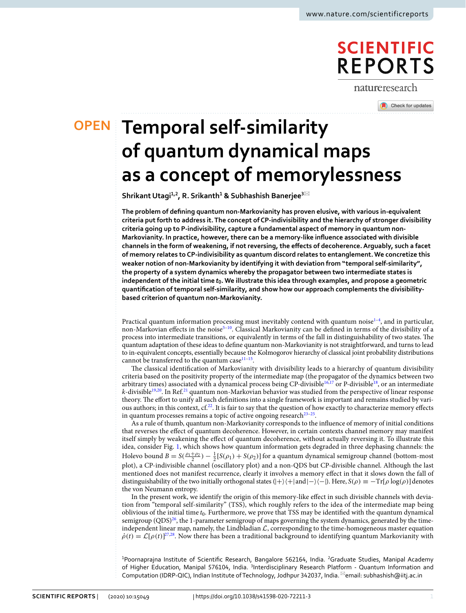# **SCIENTIFIC REPORTS**

natureresearch

Check for updates

**temporal self‑similarity open of quantum dynamical maps as a concept of memorylessness**

**Shrikant Utagi1,2, R. Srikanth<sup>1</sup> & Subhashish Banerjee<sup>3</sup>**\*

**The problem of defining quantum non-Markovianity has proven elusive, with various in-equivalent criteria put forth to address it. The concept of CP-indivisibility and the hierarchy of stronger divisibility criteria going up to P-indivisibility, capture a fundamental aspect of memory in quantum non-Markovianity. In practice, however, there can be a memory-like influence associated with divisible channels in the form of weakening, if not reversing, the effects of decoherence. Arguably, such a facet of memory relates to CP-indivisibility as quantum discord relates to entanglement. We concretize this weaker notion of non-Markovianity by identifying it with deviation from "temporal self-similarity", the property of a system dynamics whereby the propagator between two intermediate states is independent of the initial time** *t***0 . We illustrate this idea through examples, and propose a geometric quantification of temporal self-similarity, and show how our approach complements the divisibilitybased criterion of quantum non-Markovianity.**

Practical quantum information processing must inevitably contend with quantum noise<sup>[1](#page-7-0)-[4](#page-7-1)</sup>, and in particular, non-Markovian effects in the noise<sup>[5](#page-7-2)-[10](#page-7-3)</sup>. Classical Markovianity can be defined in terms of the divisibility of a process into intermediate transitions, or equivalently in terms of the fall in distinguishability of two states. The quantum adaptation of these ideas to define quantum non-Markovianity is not straightforward, and turns to lead to in-equivalent concepts, essentially because the Kolmogorov hierarchy of classical joint probability distributions cannot be transferred to the quantum case $11-15$  $11-15$ .

The classical identification of Markovianity with divisibility leads to a hierarchy of quantum divisibility criteria based on the positivity property of the intermediate map (the propagator of the dynamics between two arbitrary times) associated with a dynamical process being CP-divisible<sup>[16](#page-7-6)[,17](#page-7-7)</sup> or P-divisible<sup>[18](#page-7-8)</sup>, or an intermediate k-divisible[19](#page-8-0),[20](#page-8-1). In Ref.[21](#page-8-2) quantum non-Markovian behavior was studied from the perspective of linear response theory. The effort to unify all such definitions into a single framework is important and remains studied by vari-ous authors; in this context, cf.<sup>[22](#page-8-3)</sup>. It is fair to say that the question of how exactly to characterize memory effects in quantum processes remains a topic of active ongoing research $^{23-25}$  $^{23-25}$  $^{23-25}$ .

As a rule of thumb, quantum non-Markovianity corresponds to the influence of memory of initial conditions that reverses the effect of quantum decoherence. However, in certain contexts channel memory may manifest itself simply by weakening the effect of quantum decoherence, without actually reversing it. To illustrate this idea, consider Fig. [1,](#page-1-0) which shows how quantum information gets degraded in three dephasing channels: the Holevo bound  $B = S(\frac{\rho_1+\rho_2}{2}) - \frac{1}{2}[S(\rho_1) + S(\rho_2)]$  for a quantum dynamical semigroup channel (bottom-most plot), a CP-indivisible channel (oscillatory plot) and a non-QDS but CP-divisible channel. Although the last mentioned does not manifest recurrence, clearly it involves a memory effect in that it slows down the fall of distinguishability of the two initially orthogonal states ( $|+\rangle\langle+|$  and  $|-\rangle\langle-|$ ). Here,  $S(\rho) \equiv -Tr[\rho \log(\rho)]$  denotes the von Neumann entropy.

In the present work, we identify the origin of this memory-like effect in such divisible channels with deviation from "temporal self-similarity" (TSS), which roughly refers to the idea of the intermediate map being oblivious of the initial time  $t_0$ . Furthermore, we prove that TSS may be identified with the quantum dynamical semigroup  $(QDS)^{26}$  $(QDS)^{26}$  $(QDS)^{26}$ , the 1-parameter semigroup of maps governing the system dynamics, generated by the timeindependent linear map, namely, the Lindbladian  $\mathcal{L}$ , corresponding to the time-homogeneous master equation  $\dot{\rho}(t) = \mathcal{L}[\rho(t)]^{27,28}$  $\dot{\rho}(t) = \mathcal{L}[\rho(t)]^{27,28}$  $\dot{\rho}(t) = \mathcal{L}[\rho(t)]^{27,28}$  $\dot{\rho}(t) = \mathcal{L}[\rho(t)]^{27,28}$ . Now there has been a traditional background to identifying quantum Markovianity with

<sup>1</sup>Poornaprajna Institute of Scientific Research, Bangalore 562164, India. <sup>2</sup>Graduate Studies, Manipal Academy of Higher Education, Manipal 576104, India. <sup>3</sup>Interdisciplinary Research Platform - Quantum Information and Computation (IDRP-QIC), Indian Institute of Technology, Jodhpur 342037, India. <sup>⊠</sup>email: subhashish@iitj.ac.in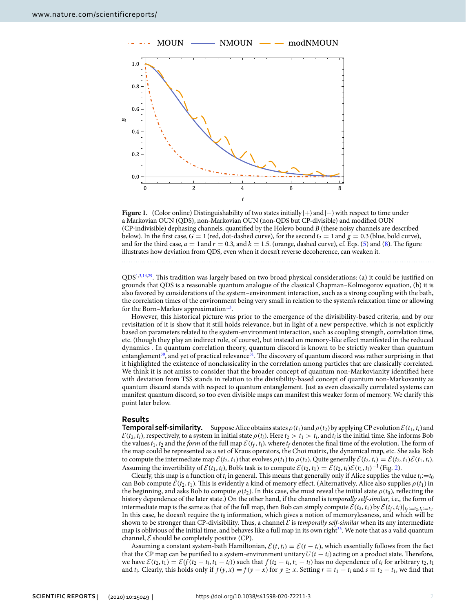

<span id="page-1-0"></span>

 QDS[1](#page-7-0),[3,](#page-7-9)[14,](#page-7-10)[29](#page-8-9). This tradition was largely based on two broad physical considerations: (a) it could be justified on grounds that QDS is a reasonable quantum analogue of the classical Chapman–Kolmogorov equation, (b) it is also favored by considerations of the system–environment interaction, such as a strong coupling with the bath, the correlation times of the environment being very small in relation to the system's relaxation time or allowing for the Born–Markov approximation<sup>[1,](#page-7-0)[3](#page-7-9)</sup>.

However, this historical picture was prior to the emergence of the divisibility-based criteria, and by our revisitation of it is show that it still holds relevance, but in light of a new perspective, which is not explicitly based on parameters related to the system-environment interaction, such as coupling strength, correlation time, etc. (though they play an indirect role, of course), but instead on memory-like effect manifested in the reduced dynamics . In quantum correlation theory, quantum discord is known to be strictly weaker than quantum entanglement $30$ , and yet of practical relevance $31$ . The discovery of quantum discord was rather surprising in that it highlighted the existence of nonclassicality in the correlation among particles that are classically correlated. We think it is not amiss to consider that the broader concept of quantum non-Markovianity identified here with deviation from TSS stands in relation to the divisibility-based concept of quantum non-Markovanity as quantum discord stands with respect to quantum entanglement. Just as even classically correlated systems can manifest quantum discord, so too even divisible maps can manifest this weaker form of memory. We clarify this point later below.

#### **Results**

**Temporal self-similarity.** Suppose Alice obtains states  $\rho(t_1)$  and  $\rho(t_2)$  by applying CP evolution  $\mathcal{E}(t_1, t_i)$  and  $\mathcal{E}(t_2,t_i)$ , respectively, to a system in initial state  $\rho(t_i)$ . Here  $t_2 > t_1 > t_i$ , and  $t_i$  is the initial time. She informs Bob the values  $t_1, t_2$  and the form of the full map  $\mathcal{E}(t_f, t_i)$ , where  $t_f$  denotes the final time of the evolution. The form of the map could be represented as a set of Kraus operators, the Choi matrix, the dynamical map, etc. She asks Bob to compute the intermediate map  $\mathcal{E}(t_2, t_1)$  that evolves  $\rho(t_1)$  to  $\rho(t_2)$ . Quite generally  $\mathcal{E}(t_2, t_i) = \mathcal{E}(t_2, t_1)\mathcal{E}(t_1, t_i)$ . Assuming the invertibility of  $\mathcal{E}(t_1, t_i)$ , Bob's task is to compute  $\mathcal{E}(t_2, t_1) = \mathcal{E}(t_2, t_i)\mathcal{E}(t_1, t_i)^{-1}$  (Fig. [2\)](#page-2-0).

Clearly, this map is a function of  $t_i$  in general. This means that generally only if Alice supplies the value  $t_i := t_0$ can Bob compute  $\mathcal{E}(t_2, t_1)$ . This is evidently a kind of memory effect. (Alternatively, Alice also supplies  $\rho(t_1)$  in the beginning, and asks Bob to compute  $\rho(t_2)$ . In this case, she must reveal the initial state  $\rho(t_0)$ , reflecting the history dependence of the later state.) On the other hand, if the channel is temporally self-similar, i.e., the form of intermediate map is the same as that of the full map, then Bob can simply compute  $\mathcal{E}(t_2, t_1)$  by  $\mathcal{E}(t_f, t_i)|_{t_f = t_2, t_i = t_1}$ . In this case, he doesn't require the  $t_0$  information, which gives a notion of memorylessness, and which will be shown to be stronger than CP-divisibility. Thus, a channel  $E$  is temporally self-similar when its any intermediate map is oblivious of the initial time, and behaves like a full map in its own right<sup>[33](#page-8-12)</sup>. We note that as a valid quantum channel,  $\mathcal E$  should be completely positive (CP).

Assuming a constant system-bath Hamiltonian,  $\mathcal{E}(t, t_i) = \mathcal{E}(t - t_i)$ , which essentially follows from the fact that the CP map can be purified to a system-environment unitary  $U(t - t_i)$  acting on a product state. Therefore, we have  $\mathcal{E}(t_2, t_1) = \mathcal{E}(f(t_2 - t_i, t_1 - t_i))$  such that  $f(t_2 - t_i, t_1 - t_i)$  has no dependence of  $t_i$  for arbitrary  $t_2, t_1$ and  $t_i$ . Clearly, this holds only if  $f(y, x) = f(y - x)$  for  $y \ge x$ . Setting  $r \equiv t_1 - t_i$  and  $s \equiv t_2 - t_1$ , we find that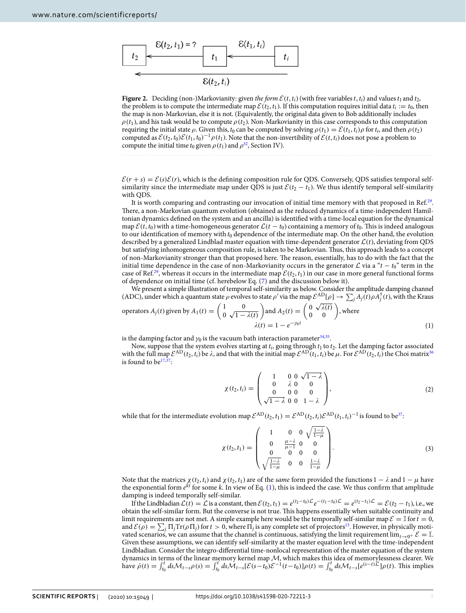

<span id="page-2-0"></span>**Figure 2.** Deciding (non-)Markovianity: given the form  $\mathcal{E}(t, t_i)$  (with free variables  $t$ ,  $t_i$ ) and values  $t_1$  and  $t_2$ , the problem is to compute the intermediate map  $\mathcal{E}(t_2, t_1)$ . If this computation requires initial data  $t_i := t_0$ , then the map is non-Markovian, else it is not. (Equivalently, the original data given to Bob additionally includes  $\rho(t_1)$ , and his task would be to compute  $\rho(t_2)$ . Non-Markovianity in this case corresponds to this computation requiring the initial state  $\rho$ . Given this,  $t_0$  can be computed by solving  $\rho(t_1) = \mathcal{E}(t_1, t_i)\rho$  for  $t_i$ , and then  $\rho(t_2)$ computed as  $\mathcal{E}(t_2, t_0)\mathcal{E}(t_1, t_0)^{-1}\rho(t_1)$ . Note that the non-invertibility of  $\mathcal{E}(t, t_i)$  does not pose a problem to compute the initial time  $t_0$  given  $\rho(t_1)$  and  $\rho^{32}$  $\rho^{32}$  $\rho^{32}$ , Section IV).

 $\mathcal{E}(r + s) = \mathcal{E}(s)\mathcal{E}(r)$ , which is the defining composition rule for QDS. Conversely, QDS satisfies temporal selfsimilarity since the intermediate map under QDS is just  $\mathcal{E}(t_2 - t_1)$ . We thus identify temporal self-similarity with QDS.

It is worth comparing and contrasting our invocation of initial time memory with that proposed in Ref.<sup>[29](#page-8-9)</sup>. There, a non-Markovian quantum evolution (obtained as the reduced dynamics of a time-independent Hamiltonian dynamics defined on the system and an ancilla) is identified with a time-local equation for the dynamical map  $\mathcal{E}(t, t_0)$  with a time-homogeneous generator  $\mathcal{L}(t - t_0)$  containing a memory of  $t_0$ . This is indeed analogous to our identification of memory with  $t_0$  dependence of the intermediate map. On the other hand, the evolution described by a generalized Lindblad master equation with time-dependent generator  $\mathcal{L}(t)$ , deviating from QDS but satisfying inhomogeneous composition rule, is taken to be Markovian. Thus, this approach leads to a concept of non-Markovianity stronger than that proposed here. The reason, essentially, has to do with the fact that the initial time dependence in the case of non-Markovianity occurs in the generator  $\mathcal L$  via a " $t - t_0$ " term in the case of Ref.<sup>[29](#page-8-9)</sup>, whereas it occurs in the intermediate map  $\mathcal{E}(t_2, t_1)$  in our case in more general functional forms of dependence on initial time (cf. herebelow Eq. [\(7](#page-3-1)) and the discussion below it).

We present a simple illustration of temporal self-similarity as below. Consider the amplitude damping channel (ADC), under which a quantum state  $\rho$  evolves to state  $\rho'$  via the map  $\mathcal{E}^{AD}[\rho] \to \sum_j A_j(t) \rho A_j^\dagger(t)$ , with the Kraus

operators 
$$
A_j(t)
$$
 given by  $A_1(t) = \begin{pmatrix} 1 & 0 \\ 0 & \sqrt{1 - \lambda(t)} \end{pmatrix}$  and  $A_2(t) = \begin{pmatrix} 0 & \sqrt{\lambda(t)} \\ 0 & 0 \end{pmatrix}$ , where  $\lambda(t) = 1 - e^{-\gamma_0 t}$  (1)

is the damping factor and  $\gamma_0$  is the vacuum bath interaction parameter $^{34,35}.$  $^{34,35}.$  $^{34,35}.$  $^{34,35}.$  $^{34,35}.$ 

Now, suppose that the system evolves starting at  $t_i$ , going through  $t_1$  to  $t_2$ . Let the damping factor associated with the full map  $\mathcal{E}^{AD}(t_2,t_i)$  be  $\lambda$ , and that with the initial map  $\mathcal{E}^{AD}(t_1,t_i)$  be  $\mu$ . For  $\mathcal{E}^{AD}(t_2,t_i)$  the Choi matrix<sup>[36](#page-8-15)</sup> is found to be $17,37$  $17,37$ :

<span id="page-2-1"></span>
$$
\chi(t_2, t_i) = \begin{pmatrix} 1 & 0 & 0 & \sqrt{1 - \lambda} \\ 0 & \lambda & 0 & 0 \\ 0 & 0 & 0 & 0 \\ \sqrt{1 - \lambda} & 0 & 0 & 1 - \lambda \end{pmatrix},
$$
(2)

while that for the intermediate evolution map  $\mathcal{E}^{AD}(t_2,t_1)=\mathcal{E}^{AD}(t_2,t_i)\mathcal{E}^{AD}(t_1,t_i)^{-1}$  is found to be<sup>[37](#page-8-16)</sup>:

<span id="page-2-2"></span>
$$
\chi(t_2, t_1) = \begin{pmatrix} 1 & 0 & 0 & \sqrt{\frac{1-\lambda}{1-\mu}} \\ 0 & \frac{\mu-\lambda}{\mu-1} & 0 & 0 \\ 0 & 0 & 0 & 0 \\ \sqrt{\frac{1-\lambda}{1-\mu}} & 0 & 0 & \frac{1-\lambda}{1-\mu} \end{pmatrix}.
$$
 (3)

Note that the matrices  $\chi(t_2, t_1)$  and  $\chi(t_2, t_1)$  are of the same form provided the functions  $1 - \lambda$  and  $1 - \mu$  have the exponential form  $e^{kt}$  for some k. In view of Eq. [\(1\)](#page-2-1), this is indeed the case. We thus confirm that amplitude damping is indeed temporally self-similar.

If the Lindbladian  $\mathcal{L}(t) = \mathcal{L}$  is a constant, then  $\mathcal{E}(t_2, t_1) = e^{(t_2 - t_0)\mathcal{L}} e^{-(t_1 - t_0)\mathcal{L}} = e^{(t_2 - t_1)\mathcal{L}} = \mathcal{E}(t_2 - t_1)$ , i.e., we obtain the self-similar form. But the converse is not true. This happens essentially when suitable continuity and limit requirements are not met. A simple example here would be the temporally self-similar map  $\mathcal{E} = \mathbb{I}$  for  $t = 0$ , and  $\mathcal{E}(\rho) = \sum_j \Pi_j \text{Tr}(\rho \Pi_j)$  for  $t > 0$ , where  $\Pi_j$  is any complete set of projectors<sup>[15](#page-7-5)</sup>. However, in physically motivated scenarios, we can assume that the channel is continuous, satisfying the limit requirement  $\lim_{t\to 0^+} \mathcal{E} = \mathbb{I}$ . Given these assumptions, we can identify self-similarity at the master equation level with the time-independent Lindbladian. Consider the integro-differential time-nonlocal representation of the master equation of the system dynamics in terms of the linear memory kernel map  $M$ , which makes this idea of memorylessness clearer. We to the total term of the three thermal term of  $f(x)$ , which that is this called or the thoroperation. We have  $\dot{\rho}(t) = \int_{t_0}^t ds M_{t-s}[\varepsilon(s-t_0)\varepsilon^{-1}(t-t_0)]\rho(t) = \int_{t_0}^t ds M_{t-s}[\varepsilon^{(s-t)L}]\rho(t)$ . This implies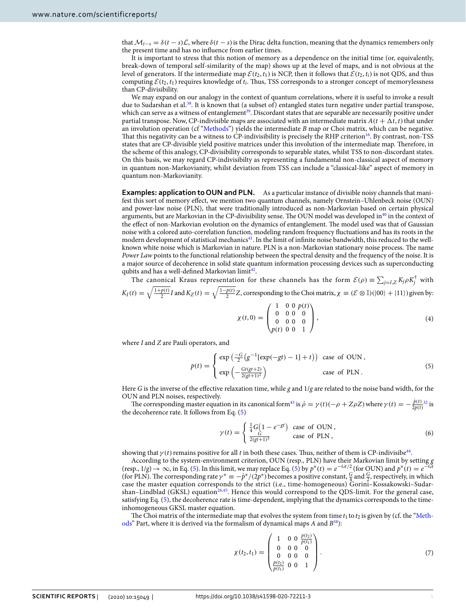that  $\mathcal{M}_{t-s} = \delta(t-s)\mathcal{L}$ , where  $\delta(t-s)$  is the Dirac delta function, meaning that the dynamics remembers only the present time and has no influence from earlier times.

It is important to stress that this notion of memory as a dependence on the initial time (or, equivalently, break-down of temporal self-similarity of the map) shows up at the level of maps, and is not obvious at the level of generators. If the intermediate map  $\mathcal{E}(t_2, t_1)$  is NCP, then it follows that  $\mathcal{E}(t_2, t_i)$  is not QDS, and thus computing  $\mathcal{E}(t_2, t_1)$  requires knowledge of  $t_i$ . Thus, TSS corresponds to a stronger concept of memorylessness than CP-divisibility.

We may expand on our analogy in the context of quantum correlations, where it is useful to invoke a result due to Sudarshan et al.[38](#page-8-18). It is known that (a subset of) entangled states turn negative under partial transpose, which can serve as a witness of entanglement<sup>[39](#page-8-19)</sup>. Discordant states that are separable are necessarily positive under partial transpose. Now, CP-indivisible maps are associated with an intermediate matrix  $A(t + \Delta t, t)$  that under an involution operation (cf ["Methods"](#page-7-11)) yields the intermediate B map or Choi matrix, which can be negative. That this negativity can be a witness to CP-indivisibility is precisely the RHP criterion<sup>[16](#page-7-6)</sup>. By contrast, non-TSS states that are CP-divisible yield positive matrices under this involution of the intermediate map. Therefore, in the scheme of this analogy, CP-divisibility corresponds to separable states, whilst TSS to non-discordant states. On this basis, we may regard CP-indivisibilty as representing a fundamental non-classical aspect of memory in quantum non-Markovianity, whilst deviation from TSS can include a "classical-like" aspect of memory in quantum non-Markovianity.

**Examples: application to OUN and PLN.** As a particular instance of divisible noisy channels that manifest this sort of memory effect, we mention two quantum channels, namely Ornstein–Uhlenbeck noise (OUN) and power-law noise (PLN), that were traditionally introduced as non-Markovian based on certain physical arguments, but are Markovian in the CP-divisibility sense. The OUN model was developed in<sup>[40](#page-8-20)</sup> in the context of the effect of non-Markovian evolution on the dynamics of entanglement. The model used was that of Gaussian noise with a colored auto-correlation function, modeling random frequency fluctuations and has its roots in the modern development of statistical mechanics<sup>[41](#page-8-21)</sup>. In the limit of infinite noise bandwidth, this reduced to the wellknown white noise which is Markovian in nature. PLN is a non-Markovian stationary noise process. The name Power Law points to the functional relationship between the spectral density and the frequency of the noise. It is a major source of decoherence in solid state quantum information processing devices such as superconducting qubits and has a well-defined Markovian limit<sup>[42](#page-8-22)</sup>.

The canonical Kraus representation for these channels has the form  $\mathcal{E}(\rho) \equiv \sum_{j=I,Z} K_j \rho K_j^{\dagger}$  with  $K_I(t)=\sqrt{\frac{1+p(t)}{2}}I$  and  $K_Z(t)=\sqrt{\frac{1-p(t)}{2}}Z$ , corresponding to the Choi matrix,  $\chi\equiv ({\cal E}\otimes\mathbb{I})(|00\rangle+|11\rangle)$  given by:

<span id="page-3-2"></span><span id="page-3-0"></span>
$$
\chi(t,0) = \begin{pmatrix} 1 & 0 & 0 & p(t) \\ 0 & 0 & 0 & 0 \\ 0 & 0 & 0 & 0 \\ p(t) & 0 & 0 & 1 \end{pmatrix},
$$
\n(4)

where I and Z are Pauli operators, and

$$
p(t) = \begin{cases} \exp\left(\frac{-G}{2}\left(g^{-1}[\exp(-gt) - 1] + t\right)\right) & \text{case of OUN,} \\ \exp\left(-\frac{Gt(gt + 2)}{2(gt + 1)^2}\right) & \text{case of PLN.} \end{cases}
$$
(5)

Here G is the inverse of the effective relaxation time, while g and  $1/g$  are related to the noise band width, for the OUN and PLN noises, respectively.

The corresponding master equation in its canonical form<sup>[43](#page-8-23)</sup> is  $\dot{\rho} = \gamma(t)(-\rho + Z\rho Z)$  where  $\gamma(t) = -\frac{\dot{p}(t)}{2p(t)}$  is the decoherence rate. It follows from Eq. [\(5\)](#page-3-0)

<span id="page-3-3"></span>
$$
\gamma(t) = \begin{cases} \frac{1}{4}G(1 - e^{-gt}) & \text{case of OUN,} \\ \frac{G}{2(gt+1)^3} & \text{case of PLN,} \end{cases}
$$
 (6)

showing that  $\gamma(t)$  remains positive for all t in both these cases. Thus, neither of them is CP-indivisibe<sup>[44](#page-8-24)</sup>.

According to the system-environment criterion, OUN (resp., PLN) have their Markovian limit by setting  $g$  $(\text{resp. } 1/g) \rightarrow \infty$ , in Eq. [\(5\)](#page-3-0). In this limit, we may replace Eq. (5) by  $p^*(t) = e^{-Gt/2}$  (for OUN) and  $p^*(t) = e^{-Gt/2}$ (for PLN). The corresponding rate  $\gamma^* \equiv -\dot{p}^*/(2p^*)$  becomes a positive constant,  $\frac{G}{4}$  and  $\frac{G}{2}$ , respectively, in which case the master equation corresponds to the strict (i.e., time-homogeneous) Gorini–Kossakowski–Sudar-shan–Lindblad (GKSL) equation<sup>[26,](#page-8-6)[45](#page-8-25)</sup>. Hence this would correspond to the QDS-limit. For the general case, satisfying Eq. ([5](#page-3-0)), the decoherence rate is time-dependent, implying that the dynamics corresponds to the timeinhomogeneous GKSL master equation.

The Choi matrix of the intermediate map that evolves the system from time  $t_1$  to  $t_2$  is given by (cf. the "[Meth](#page-7-11)[ods](#page-7-11)" Part, where it is derived via the formalism of dynamical maps A and  $B^{38}$  $B^{38}$  $B^{38}$ ):

<span id="page-3-1"></span>
$$
\chi(t_2, t_1) = \begin{pmatrix} 1 & 0 & 0 & \frac{p(t_2)}{p(t_1)} \\ 0 & 0 & 0 & 0 \\ 0 & 0 & 0 & 0 \\ \frac{p(t_2)}{p(t_1)} & 0 & 0 & 1 \end{pmatrix}.
$$
 (7)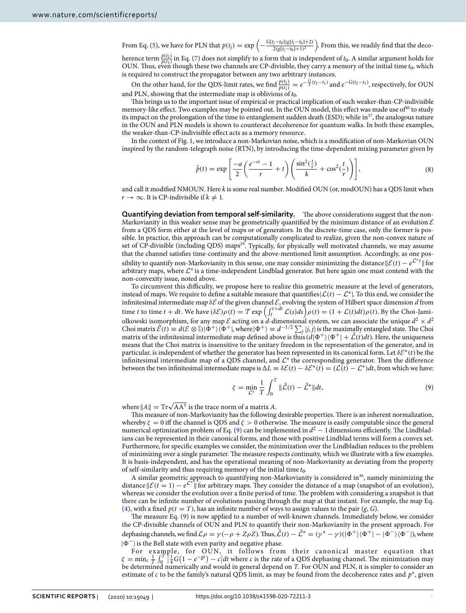From Eq. [\(5\)](#page-3-0), we have for PLN that  $p(t_j) = \exp \left(-\frac{G[t_j - t_0](g[t_j - t_0] + 2)}{2(g[t_i - t_0] + 1)^2}\right)$  $\frac{2(g[t_j-t_0]+2)}{2(g[t_j-t_0]+1)^2}$ ). From this, we readily find that the deco-

herence term  $\frac{p(t_2)}{p(t_1)}$  in Eq. [\(7\)](#page-3-1) does not simplify to a form that is independent of  $t_0$ . A similar argument holds for OUN. Thus,  $e^{f(x)}$  though these two channels are CP-divisible, they carry a memory of the initial time  $t_0$ , which is required to construct the propagator between any two arbitrary instances.

On the other hand, for the QDS-limit rates, we find  $\frac{p(t_2)}{p(t_1)} = e^{-\frac{G}{2}(t_2 - t_1)}$  and  $e^{-G(t_2 - t_1)}$ , respectively, for OUN and PLN, showing that the intermediate map is oblivious of  $t_0$ .

This brings us to the important issue of empirical or practical implication of such weaker-than-CP-indivisible memory-like effect. Two examples may be pointed out. In the OUN model, this effect was made use of<sup>[40](#page-8-20)</sup> to study its impact on the prolongation of the time to entanglement sudden death (ESD); while in<sup>[37](#page-8-16)</sup>, the analogous nature in the OUN and PLN models is shown to counteract decoherence for quantum walks. In both these examples, the weaker-than-CP-indivisible effect acts as a memory resource.

In the context of Fig. [1](#page-1-0), we introduce a non-Markovian noise, which is a modification of non-Markovian OUN inspired by the random-telegraph noise (RTN), by introducing the time-dependent mixing parameter given by

<span id="page-4-0"></span>
$$
\tilde{p}(t) = \exp\left[\frac{-a}{2}\left(\frac{e^{-rt} - 1}{r} + t\right)\left(\frac{\sin^2(\frac{t}{r})}{k} + \cos^2(\frac{t}{r})\right)\right],\tag{8}
$$

and call it modified NMOUN. Here k is some real number. Modified OUN (or, modOUN) has a QDS limit when  $r \to \infty$ . It is CP-indivisible if  $k \neq 1$ .

**Quantifying deviation from temporal self-similarity.** The above considerations suggest that the non-Markovianity in this weaker sense may be geometrically quantified by the minimum distance of an evolution  $\mathcal E$ from a QDS form either at the level of maps or of generators. In the discrete-time case, only the former is possible. In practice, this approach can be computationally complicated to realize, given the non-convex nature of set of CP-divisible (including QDS) maps<sup>[29](#page-8-9)</sup>. Typically, for physically well motivated channels, we may assume that the channel satisfies time-continuity and the above-mentioned limit assumption. Accordingly, as one possibility to quantify non-Markovianity in this sense, one may consider minimizing the distance  $\|\mathcal{E}(t)-e^{\mathcal{L}^*t}\|$  for arbitrary maps, where  $\mathcal{L}^*$  is a time-independent Lindblad generator. But here again one must contend with the non-convexity issue, noted above.

To circumvent this difficulty, we propose here to realize this geometric measure at the level of generators, instead of maps. We require to define a suitable measure that quantifies  $|\mathcal{L}(t) - \mathcal{L}^*|$ . To this end, we consider the infinitesimal intermediate map  $\delta \mathcal{E}$  of the given channel  $\mathcal{E}$ , evolving the system of Hilbert space dimension d from time t to time  $t + dt$ . We have  $(\delta \mathcal{E}) \rho(t) = \mathcal{T} \exp \left( \int_t^{t+dt} \mathcal{L}(s) ds \right) \rho(t) = (1 + \mathcal{L}(t) dt) \rho(t)$ . By the Choi-Jamiolkowski isomorphism, for any map  $\mathcal E$  acting on a d-dimensional system, we can associate the unique  $d^2 \times d^2$ Choi matrix  $\hat{\mathcal{E}}(t) \equiv d(\mathcal{E} \otimes \mathbb{I}) |\dot{\Phi}^+\rangle \langle \Phi^+|$ , where  $|\Phi^+\rangle \equiv d^{-1/2} \sum_j |j,j\rangle$  is the maximally entangled state. The Choi matrix of the infinitesimal intermediate map defined above is thus  $(d|\Phi^+\rangle\langle\Phi^+| + \hat{\mathcal{L}}(t)dt)$ . Here, the uniqueness means that the Choi matrix is insensitive to the unitary freedom in the representation of the generator, and in particular, is independent of whether the generator has been represented in its canonical form. Let  $\delta \mathcal{E}^*(t)$  be the infinitesimal intermediate map of a QDS channel, and  $\mathcal{L}^*$  the corresponding generator. Then the difference between the two infinitesimal intermediate maps is  $\Delta L = \delta \mathcal{E}(t) - \delta \mathcal{E}^*(t) = (\mathcal{L}(t) - \mathcal{L}^*)dt$ , from which we have:

<span id="page-4-1"></span>
$$
\zeta = \min_{\mathcal{L}^*} \frac{1}{T} \int_0^T \| \hat{\mathcal{L}}(t) - \hat{\mathcal{L}}^* \| dt,
$$
\n(9)

where  $||A|| = \text{Tr}\sqrt{AA^{\dagger}}$  is the trace norm of a matrix A.

This measure of non-Markovianity has the following desirable properties. There is an inherent normalization, whereby  $\zeta = 0$  iff the channel is QDS and  $\zeta > 0$  otherwise. The measure is easily computable since the general numerical optimization problem of Eq. ([9](#page-4-1)) can be implemented in  $d^2 - 1$  dimensions efficiently. The Lindbladians can be represented in their canonical forms, and those with positive Lindblad terms will form a convex set. Furthermore, for specific examples we consider, the minimization over the Lindbladian reduces to the problem of minimizing over a single parameter. The measure respects continuity, which we illustrate with a few examples. It is basis-independent, and has the operational meaning of non-Markovianity as deviating from the property of self-similarity and thus requiring memory of the initial time  $t_0$ .

A similar geometric approach to quantifying non-Markovianity is considered in<sup>[46](#page-8-26)</sup>, namely minimizing the distance  $\mathcal{E}(t = 1) - e^{\mathcal{L}^* \parallel}$  for arbitrary maps. They consider the distance of a map (snapshot of an evolution), whereas we consider the evolution over a finite period of time. The problem with considering a snapshot is that there can be infinite number of evolutions passing through the map at that instant. For example, the map Eq. [\(4](#page-3-2)), with a fixed  $p(t = T)$ , has an infinite number of ways to assign values to the pair  $(g, G)$ .

The measure Eq. ([9](#page-4-1)) is now applied to a number of well-known channels. Immediately below, we consider the CP-divisible channels of OUN and PLN to quantify their non-Markovianity in the present approach. For dephasing channels, we find  $\mathcal{L}\rho = \gamma(-\rho + Z\rho Z)$ . Thus,  $\hat{\mathcal{L}}(t) - \hat{\mathcal{L}}^* = (\gamma^* - \gamma)(|\Phi^+\rangle\langle\Phi^+| - |\Phi^-\rangle\langle\Phi^-|)$ , where  $|\Phi^{-}\rangle$  is the Bell state with even parity and negative phase.

For example, for OUN, it follows from their canonical master equation that  $\zeta = \min_c \frac{1}{T} \int_0^T \left[ \frac{1}{4} G(1 - e^{-gt}) - c \right] dt$  where c is the rate of a QDS dephasing channel. The minimization may  $\zeta = \min_c \frac{1}{T} \int_0^T \left[ \frac{1}{4} G (1 - e^{-gt}) - c \right] dt$  where c is the rate of a QDS dephasing channel. The minimization may be determined numerically and would in general depend on T. For OUN and PLN, it is simpler to consider an estimate of c to be the family's natural QDS limit, as may be found from the decoherence rates and  $p^*$ , given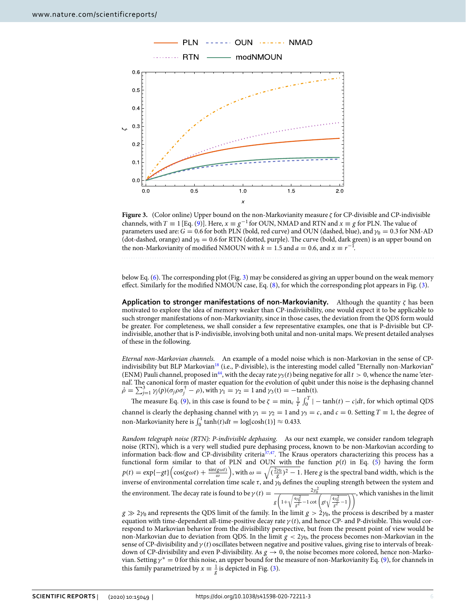

<span id="page-5-0"></span>

below Eq. ([6\)](#page-3-3). The corresponding plot (Fig. [3](#page-5-0)) may be considered as giving an upper bound on the weak memory effect. Similarly for the modified NMOUN case, Eq. ([8](#page-4-0)), for which the corresponding plot appears in Fig. ([3](#page-2-2)).

**Application to stronger manifestations of non-Markovianity.** Although the quantity ζ has been motivated to explore the idea of memory weaker than CP-indivisibility, one would expect it to be applicable to such stronger manifestations of non-Markovianity, since in those cases, the deviation from the QDS form would be greater. For completeness, we shall consider a few representative examples, one that is P-divisible but CPindivisible, another that is P-indivisible, involving both unital and non-unital maps. We present detailed analyses of these in the following.

Eternal non-Markovian channels. An example of a model noise which is non-Markovian in the sense of CP-indivisibility but BLP Markovian<sup>[18](#page-7-8)</sup> (i.e., P-divisible), is the interesting model called "Eternally non-Markovian" (ENM) Pauli channel, proposed in<sup>[44](#page-8-24)</sup>, with the decay rate  $\gamma_3(t)$  being negative for all  $t > 0$ , whence the name 'eternal'. The canonical form of master equation for the evolution of qubit under this noise is the dephasing channel  $\dot{\rho} = \sum_{j=1}^{3} \gamma_j(p)(\sigma_j \rho \sigma_j^{\dagger} - \rho)$ , with  $\gamma_1 = \gamma_2 = 1$  and  $\gamma_3(t) = -\tanh(t)$ .

The measure Eq. ([9](#page-4-1)), in this case is found to be  $\zeta = \min_c \frac{1}{T} \int_0^T |-tanh(t) - c|dt$ , for which optimal QDS channel is clearly the dephasing channel with  $\gamma_1 = \gamma_2 = 1$  and  $\gamma_3 = c$ , and  $c = 0$ . Setting  $T \equiv 1$ , the degree of non-Markovianity here is  $\int_0^1 \tanh(t)dt = \log[\cosh(1)] \approx 0.433$ .

Random telegraph noise (RTN): P-indivisible dephasing. As our next example, we consider random telegraph noise (RTN), which is a very well studied pure dephasing process, known to be non-Markovian according to information back-flow and CP-divisibility criteria<sup>[37](#page-8-16)[,47](#page-8-27)</sup>. The Kraus operators characterizing this process has a functional form similar to that of PLN and OUN with the function  $p(t)$  in Eq. [\(5](#page-3-0)) having the form  $p(t) = \exp\{-gt\}\left(\cos(g\omega t) + \frac{\sin(g\omega t)}{\omega}\right)$ , with  $\omega = \sqrt{\frac{2y_0}{g}\lambda^2 - 1}$ . Here g is the spectral band width, which is the inverse of environmental correlation time scale  $\tau$ , and  $\gamma_0$  defines the coupling strength between the system and the coupling strength between the system and the coupling strength between the system and the coupling the environment. The decay rate is found to be  $\gamma(t)$  =  $g\left(1+\sqrt{\frac{4\gamma_0^2}{g^2}-1}\cot\left(gt\sqrt{\frac{4\gamma_0^2}{g^2}-1}\right)\right)$  $\overline{\phantom{a}}$ , which vanishes in the limit

 $g \gg 2\gamma_0$  and represents the QDS limit of the family. In the limit  $g > 2\gamma_0$ , the process is described by a master equation with time-dependent all-time-positive decay rate  $\gamma(t)$ , and hence CP- and P-divisible. This would correspond to Markovian behavior from the divisibility perspective, but from the present point of view would be non-Markovian due to deviation from QDS. In the limit  $g < 2\gamma_0$ , the process becomes non-Markovian in the sense of CP-divisibility and  $\gamma(t)$  oscillates between negative and positive values, giving rise to intervals of breakdown of CP-divisibility and even P-divisibility. As  $g \to 0$ , the noise becomes more colored, hence non-Marko $v_0$  is the contract of  $v_0$  and  $v_0$  and  $v_0$  and  $v_0$  and  $v_0$  is the measure of non-Markovianity Eq. ([9](#page-4-1)), for channels in  $v_0$  is the measure of non-Markovianity Eq. (9), for channels in this family parametrized by  $x \equiv \frac{1}{a}$  $\frac{1}{g}$  is depicted in Fig. ([3\)](#page-2-2).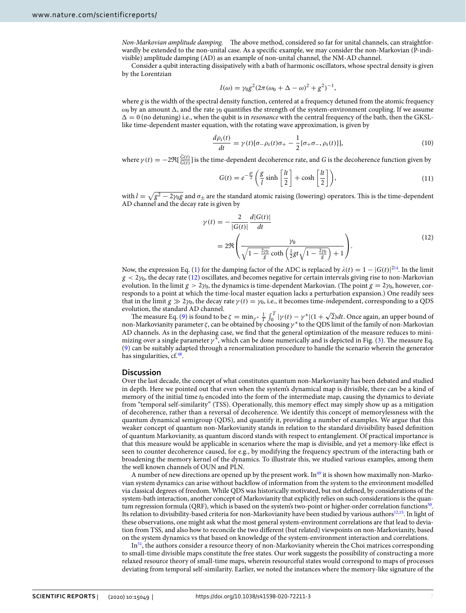Non-Markovian amplitude damping. The above method, considered so far for unital channels, can straightforwardly be extended to the non-unital case. As a specific example, we may consider the non-Markovian (P-indivisible) amplitude damping (AD) as an example of non-unital channel, the NM-AD channel.

Consider a qubit interacting dissipatively with a bath of harmonic oscillators, whose spectral density is given by the Lorentzian

$$
I(\omega) = \gamma_0 g^2 (2\pi (\omega_0 + \Delta - \omega)^2 + g^2)^{-1},
$$

where g is the width of the spectral density function, centered at a frequency detuned from the atomic frequency  $ω_0$  by an amount  $Δ$ , and the rate  $γ_0$  quantifies the strength of the system-environment coupling. If we assume  $\Delta = 0$  (no detuning) i.e., when the qubit is in *resonance* with the central frequency of the bath, then the GKSLlike time-dependent master equation, with the rotating wave approximation, is given by

$$
\frac{d\rho_s(t)}{dt} = \gamma(t)[\sigma_{-\rho_s}(t)\sigma_{+} - \frac{1}{2}\{\sigma_{+}\sigma_{-},\rho_s(t)\}],
$$
\n(10)

where  $\gamma(t) = -2\Re[\frac{\dot{G}(t)}{G(t)}]$  is the time-dependent decoherence rate, and G is the decoherence function given by

<span id="page-6-0"></span>
$$
G(t) = e^{-\frac{gt}{2}} \left( \frac{g}{l} \sinh\left[\frac{lt}{2}\right] + \cosh\left[\frac{lt}{2}\right] \right),\tag{11}
$$

with  $l = \sqrt{g^2 - 2\gamma_0 g}$  and  $\sigma_{\pm}$  are the standard atomic raising (lowering) operators. This is the time-dependent AD channel and the decay rate is given by

$$
\gamma(t) = -\frac{2}{|G(t)|} \frac{d|G(t)|}{dt}
$$
  
=  $2\Re\left(\frac{\gamma_0}{\sqrt{1 - \frac{2\gamma_0}{g}} \coth\left(\frac{1}{2}gt\sqrt{1 - \frac{2\gamma_0}{g}}\right) + 1}\right).$  (12)

Now, the expression Eq. ([1](#page-2-1)) for the damping factor of the ADC is replaced by  $\lambda(t) = 1 - |G(t)|^{2}$ . In the limit  $g < 2\gamma_0$ , the decay rate ([12\)](#page-6-0) oscillates, and becomes negative for certain intervals giving rise to non-Markovian evolution. In the limit  $g > 2\gamma_0$ , the dynamics is time-dependent Markovian. (The point  $g = 2\gamma_0$ , however, corresponds to a point at which the time-local master equation lacks a perturbation expansion.) One readily sees that in the limit  $g \gg 2\gamma_0$ , the decay rate  $\gamma(t) = \gamma_0$ , i.e., it becomes time-independent, corresponding to a QDS evolution, the standard AD channel.

The measure Eq. [\(9\)](#page-4-1) is found to be  $\zeta = \min_{y^*} \frac{1}{T} \int_0^T |\gamma(t) - \gamma^*|(1 + \sqrt{2}) dt$ . Once again, an upper bound of non-Markovianity parameter  $\zeta$ , can be obtained by choosing  $\gamma^*$  to the QDS limit of the family of non-Markovian AD channels. As in the dephasing case, we find that the general optimization of the measure reduces to minimizing over a single parameter  $\gamma^*$ , which can be done numerically and is depicted in Fig. ([3](#page-2-2)). The measure Eq. [\(9](#page-4-1)) can be suitably adapted through a renormalization procedure to handle the scenario wherein the generator has singularities, cf.<sup>[48](#page-8-28)</sup>.

# **Discussion**

Over the last decade, the concept of what constitutes quantum non-Markovianity has been debated and studied in depth. Here we pointed out that even when the system's dynamical map is divisible, there can be a kind of memory of the initial time  $t_0$  encoded into the form of the intermediate map, causing the dynamics to deviate from "temporal self-similarity" (TSS). Operationally, this memory effect may simply show up as a mitigation of decoherence, rather than a reversal of decoherence. We identify this concept of memorylessness with the quantum dynamical semigroup (QDS), and quantify it, providing a number of examples. We argue that this weaker concept of quantum non-Markovianity stands in relation to the standard divisibility based definition of quantum Markovianity, as quantum discord stands with respect to entanglement. Of practical importance is that this measure would be applicable in scenarios where the map is divisible, and yet a memory-like effect is seen to counter decoherence caused, for e.g., by modifying the frequency spectrum of the interacting bath or broadening the memory kernel of the dynamics. To illustrate this, we studied various examples, among them the well known channels of OUN and PLN.

A number of new directions are opened up by the present work. In[49](#page-8-29) it is shown how maximally non-Markovian system dynamics can arise without backflow of information from the system to the environment modelled via classical degrees of freedom. While QDS was historically motivated, but not defined, by considerations of the system-bath interaction, another concept of Markovianity that explicitly relies on such considerations is the quan-tum regression formula (QRF), which is based on the system's two-point or higher-order correlation functions<sup>[50](#page-8-30)</sup>. Its relation to divisibility-based criteria for non-Markovianity have been studied by various authors[12](#page-7-12)[,15](#page-7-5). In light of these observations, one might ask what the most general system-environment correlations are that lead to deviation from TSS, and also how to reconcile the two different (but related) viewpoints on non-Markovianity, based on the system dynamics vs that based on knowledge of the system-environment interaction and correlations.

In[51](#page-8-31), the authors consider a resource theory of non-Markovianity wherein the Choi matrices corresponding to small-time divisible maps constitute the free states. Our work suggests the possibility of constructing a more relaxed resource theory of small-time maps, wherein resourceful states would correspond to maps of processes deviating from temporal self-similarity. Earlier, we noted the instances where the memory-like signature of the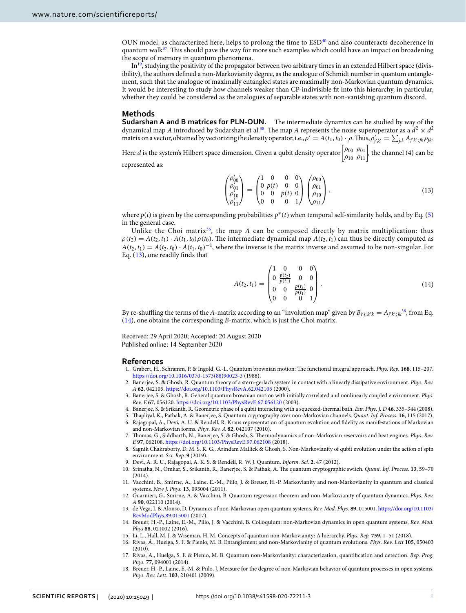OUN model, as characterized here, helps to prolong the time to ESD<sup>[40](#page-8-20)</sup> and also counteracts decoherence in quantum walk<sup>[37](#page-8-16)</sup>. This should pave the way for more such examples which could have an impact on broadening the scope of memory in quantum phenomena.

In<sup>[19](#page-8-0)</sup>, studying the positivity of the propagator between two arbitrary times in an extended Hilbert space (divisibility), the authors defined a non-Markovianity degree, as the analogue of Schmidt number in quantum entanglement, such that the analogue of maximally entangled states are maximally non-Markovian quantum dynamics. It would be interesting to study how channels weaker than CP-indivisible fit into this hierarchy, in particular, whether they could be considered as the analogues of separable states with non-vanishing quantum discord.

#### <span id="page-7-11"></span>**Methods**

**Sudarshan A and B matrices for PLN-OUN.** The intermediate dynamics can be studied by way of the dynamical map A introduced by Sudarshan et al.<sup>[38](#page-8-18)</sup>. The map A represents the noise superoperator as a  $d^2 \times d^2$ matrix on a vector, obtained by vectorizing the density operator, i.e.,  $\rho' = A(t_1, t_0) \cdot \rho$ . Thus,  $\rho'_{j'k'} = \sum_{j,k} A_{j'k';jk} \rho_{jk}$ .

Here *d* is the system's Hilbert space dimension. Given a qubit density operator  $\begin{vmatrix} \rho_{00} & \rho_{01} \\ \rho_{10} & \rho_{11} \end{vmatrix}$ , the channel (4) can be represented as:

<span id="page-7-13"></span>
$$
\begin{pmatrix}\n\rho'_{00} \\
\rho'_{01} \\
\rho'_{10} \\
\rho'_{11}\n\end{pmatrix} = \begin{pmatrix}\n1 & 0 & 0 & 0 \\
0 & p(t) & 0 & 0 \\
0 & 0 & p(t) & 0 \\
0 & 0 & 0 & 1\n\end{pmatrix} \begin{pmatrix}\n\rho_{00} \\
\rho_{01} \\
\rho_{10} \\
\rho_{11}\n\end{pmatrix},
$$
\n(13)

where  $p(t)$  is given by the corresponding probabilities  $p^*(t)$  when temporal self-similarity holds, and by Eq. ([5](#page-3-0)) in the general case.

Unlike the Choi matrix<sup>[36](#page-8-15)</sup>, the map A can be composed directly by matrix multiplication: thus  $\rho(t_2) = A(t_2, t_1) \cdot A(t_1, t_0) \rho(t_0)$ . The intermediate dynamical map  $A(t_2, t_1)$  can thus be directly computed as  $A(t_2,t_1) = A(t_2,t_0) \cdot A(t_1,t_0)^{-1}$ , where the inverse is the matrix inverse and assumed to be non-singular. For Eq. ([13\)](#page-7-13), one readily finds that

<span id="page-7-14"></span>
$$
A(t_2, t_1) = \begin{pmatrix} 1 & 0 & 0 & 0 \\ 0 & \frac{p(t_2)}{p(t_1)} & 0 & 0 \\ 0 & 0 & \frac{p(t_2)}{p(t_1)} & 0 \\ 0 & 0 & 0 & 1 \end{pmatrix}.
$$
 (14)

By re-shuffling the terms of the A-matrix according to an "involution map" given by  $B_{j'j;k'k} = A_{j'k';jk}^{38}$  $B_{j'j;k'k} = A_{j'k';jk}^{38}$  $B_{j'j;k'k} = A_{j'k';jk}^{38}$ , from Eq. [\(14\)](#page-7-14), one obtains the corresponding B-matrix, which is just the Choi matrix.

Received: 29 April 2020; Accepted: 20 August 2020 Published online: 14 September 2020

#### **References**

- <span id="page-7-0"></span> 1. Grabert, H., Schramm, P. & Ingold, G.-L. Quantum brownian motion: The functional integral approach. Phys. Rep. **168**, 115–207. https://doi.org/10.1016/0370-1573(88)90023-3 (1988).
- 2. Banerjee, S. & Ghosh, R. Quantum theory of a stern-gerlach system in contact with a linearly dissipative environment. Phys. Rev. A 62, 042105. https://doi.org/10.1103/PhysRevA.62.042105 (2000).
- <span id="page-7-9"></span> 3. Banerjee, S. & Ghosh, R. General quantum brownian motion with initially correlated and nonlinearly coupled environment. Phys. Rev. E 67, 056120. https://doi.org/10.1103/PhysRevE.67.056120 (2003).
- <span id="page-7-1"></span>4. Banerjee, S. & Srikanth, R. Geometric phase of a qubit interacting with a squeezed-thermal bath. Eur. Phys. J. D **46**, 335–344 (2008).
- <span id="page-7-2"></span>5. Thapliyal, K., Pathak, A. & Banerjee, S. Quantum cryptography over non-Markovian channels. Quant. Inf. Process. **16**, 115 (2017).
- 6. Rajagopal, A., Devi, A. U. & Rendell, R. Kraus representation of quantum evolution and fidelity as manifestations of Markovian and non-Markovian forms. Phys. Rev. A **82**, 042107 (2010).
- 7. Thomas, G., Siddharth, N., Banerjee, S. & Ghosh, S. Thermodynamics of non-Markovian reservoirs and heat engines. Phys. Rev. E 97, 062108. https://doi.org/10.1103/PhysRevE.97.062108 (2018).
- 8. Sagnik Chakraborty, D. M. S. K. G., Arindam Mallick & Ghosh, S. Non-Markovianity of qubit evolution under the action of spin environment. Sci. Rep. **9** (2019).
- 9. Devi, A. R. U., Rajagopal, A. K. S. & Rendell, R. W. J. Quantum. Inform. Sci. **2**, 47 (2012).
- <span id="page-7-3"></span> 10. Srinatha, N., Omkar, S., Srikanth, R., Banerjee, S. & Pathak, A. The quantum cryptographic switch. Quant. Inf. Process. **13**, 59–70 (2014).
- <span id="page-7-4"></span> 11. Vacchini, B., Smirne, A., Laine, E.-M., Piilo, J. & Breuer, H.-P. Markovianity and non-Markovianity in quantum and classical systems. New J. Phys. **13**, 093004 (2011).
- <span id="page-7-12"></span> 12. Guarnieri, G., Smirne, A. & Vacchini, B. Quantum regression theorem and non-Markovianity of quantum dynamics. Phys. Rev. A **90**, 022110 (2014).
- 13. de Vega, I. & Alonso, D. Dynamics of non-Markovian open quantum systems. Rev. Mod. Phys. **89**, 015001. [https ://doi.org/10.1103/](https://doi.org/10.1103/RevModPhys.89.015001) RevModPhys.89.015001 (2017).
- <span id="page-7-10"></span> 14. Breuer, H.-P., Laine, E.-M., Piilo, J. & Vacchini, B. Colloquium: non-Markovian dynamics in open quantum systems. Rev. Mod. Phys **88**, 021002 (2016).
- <span id="page-7-5"></span>15. Li, L., Hall, M. J. & Wiseman, H. M. Concepts of quantum non-Markovianity: A hierarchy. Phys. Rep. **759**, 1–51 (2018).
- <span id="page-7-6"></span> 16. Rivas, Á., Huelga, S. F. & Plenio, M. B. Entanglement and non-Markovianity of quantum evolutions. Phys. Rev. Lett **105**, 050403 (2010).
- <span id="page-7-7"></span>17. Rivas, A., Huelga, S. F. & Plenio, M. B. Quantum non-Markovianity: characterization, quantification and detection. Rep. Prog. Phys. **77**, 094001 (2014).
- <span id="page-7-8"></span> 18. Breuer, H.-P., Laine, E.-M. & Piilo, J. Measure for the degree of non-Markovian behavior of quantum processes in open systems. Phys. Rev. Lett. **103**, 210401 (2009).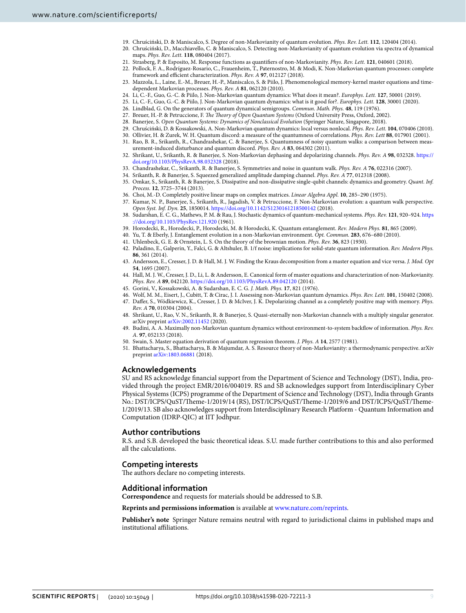- <span id="page-8-0"></span>19. Chruściński, D. & Maniscalco, S. Degree of non-Markovianity of quantum evolution. Phys. Rev. Lett. **112**, 120404 (2014).
- <span id="page-8-1"></span> 20. Chruściński, D., Macchiavello, C. & Maniscalco, S. Detecting non-Markovianity of quantum evolution via spectra of dynamical maps. Phys. Rev. Lett. **118**, 080404 (2017).
- <span id="page-8-2"></span>21. Strasberg, P. & Esposito, M. Response functions as quantifiers of non-Markovianity. Phys. Rev. Lett. **121**, 040601 (2018).
- <span id="page-8-3"></span> 22. Pollock, F. A., Rodríguez-Rosario, C., Frauenheim, T., Paternostro, M. & Modi, K. Non-Markovian quantum processes: complete framework and efficient characterization. Phys. Rev. A **97**, 012127 (2018).
- <span id="page-8-4"></span> 23. Mazzola, L., Laine, E.-M., Breuer, H.-P., Maniscalco, S. & Piilo, J. Phenomenological memory-kernel master equations and timedependent Markovian processes. Phys. Rev. A **81**, 062120 (2010).
- 24. Li, C.-F., Guo, G.-C. & Piilo, J. Non-Markovian quantum dynamics: What does it mean?. Europhys. Lett. **127**, 50001 (2019).
- <span id="page-8-5"></span>25. Li, C.-F., Guo, G.-C. & Piilo, J. Non-Markovian quantum dynamics: what is it good for?. Europhys. Lett. **128**, 30001 (2020).
- <span id="page-8-6"></span>26. Lindblad, G. On the generators of quantum dynamical semigroups. Commun. Math. Phys. **48**, 119 (1976).
- <span id="page-8-7"></span>27. Breuer, H.-P. & Petruccione, F. The Theory of Open Quantum Systems (Oxford University Press, Oxford, 2002).
- <span id="page-8-8"></span>28. Banerjee, S. Open Quantum Systems: Dynamics of Nonclassical Evolution (Springer Nature, Singapore, 2018).
- <span id="page-8-9"></span>29. Chruściński, D. & Kossakowski, A. Non-Markovian quantum dynamics: local versus nonlocal. Phys. Rev. Lett. **104**, 070406 (2010).
- <span id="page-8-10"></span>30. Ollivier, H. & Zurek, W. H. Quantum discord: a measure of the quantumness of correlations. Phys. Rev. Lett **88**, 017901 (2001).
- <span id="page-8-11"></span> 31. Rao, B. R., Srikanth, R., Chandrashekar, C. & Banerjee, S. Quantumness of noisy quantum walks: a comparison between measurement-induced disturbance and quantum discord. Phys. Rev. A **83**, 064302 (2011).
- <span id="page-8-17"></span> 32. Shrikant, U., Srikanth, R. & Banerjee, S. Non-Markovian dephasing and depolarizing channels. Phys. Rev. A **98**, 032328. [https ://](https://doi.org/10.1103/PhysRevA.98.032328) doi.org/10.1103/PhysRevA.98.032328 (2018).
- <span id="page-8-12"></span>33. Chandrashekar, C., Srikanth, R. & Banerjee, S. Symmetries and noise in quantum walk. Phys. Rev. A **76**, 022316 (2007).
- <span id="page-8-13"></span>34. Srikanth, R. & Banerjee, S. Squeezed generalized amplitude damping channel. Phys. Rev. A **77**, 012318 (2008).
- <span id="page-8-14"></span> 35. Omkar, S., Srikanth, R. & Banerjee, S. Dissipative and non-dissipative single-qubit channels: dynamics and geometry. Quant. Inf. Process. **12**, 3725–3744 (2013).
- <span id="page-8-15"></span>36. Choi, M.-D. Completely positive linear maps on complex matrices. Linear Algebra Appl. **10**, 285–290 (1975).
- <span id="page-8-16"></span> 37. Kumar, N. P., Banerjee, S., Srikanth, R., Jagadish, V. & Petruccione, F. Non-Markovian evolution: a quantum walk perspective. Open Syst. Inf. Dyn. **25**, 1850014. [https ://doi.org/10.1142/S1230 16121 85001 42](https://doi.org/10.1142/S1230161218500142) (2018).
- <span id="page-8-18"></span> 38. Sudarshan, E. C. G., Mathews, P. M. & Rau, J. Stochastic dynamics of quantum-mechanical systems. Phys. Rev. **121**, 920–924. [https](https://doi.org/10.1103/PhysRev.121.920) ://doi.org/10.1103/PhysRev.121.920 (1961).
- <span id="page-8-19"></span>39. Horodecki, R., Horodecki, P., Horodecki, M. & Horodecki, K. Quantum entanglement. Rev. Modern Phys. **81**, 865 (2009).
- <span id="page-8-20"></span>40. Yu, T. & Eberly, J. Entanglement evolution in a non-Markovian environment. Opt. Commun. **283**, 676–680 (2010).
- <span id="page-8-21"></span>41. Uhlenbeck, G. E. & Ornstein, L. S. On the theory of the brownian motion. Phys. Rev. **36**, 823 (1930).
- <span id="page-8-22"></span>42. Paladino, E., Galperin, Y., Falci, G. & Altshuler, B. 1/f noise: implications for solid-state quantum information. Rev. Modern Phys. **86**, 361 (2014).
- <span id="page-8-23"></span>43. Andersson, E., Cresser, J. D. & Hall, M. J. W. Finding the Kraus decomposition from a master equation and vice versa. J. Mod. Opt **54**, 1695 (2007).
- <span id="page-8-24"></span> 44. Hall, M. J. W., Cresser, J. D., Li, L. & Andersson, E. Canonical form of master equations and characterization of non-Markovianity. Phys. Rev. A 89, 042120. https://doi.org/10.1103/PhysRevA.89.042120 (2014).
- <span id="page-8-25"></span>45. Gorini, V., Kossakowski, A. & Sudarshan, E. C. G. J. Math. Phys. **17**, 821 (1976).
- <span id="page-8-26"></span>46. Wolf, M. M., Eisert, J., Cubitt, T. & Cirac, J. I. Assessing non-Markovian quantum dynamics. Phys. Rev. Lett. **101**, 150402 (2008).
- <span id="page-8-27"></span> 47. Daffer, S., Wódkiewicz, K., Cresser, J. D. & McIver, J. K. Depolarizing channel as a completely positive map with memory. Phys. Rev. A **70**, 010304 (2004).
- <span id="page-8-28"></span> 48. Shrikant, U., Rao, V. N., Srikanth, R. & Banerjee, S. Quasi-eternally non-Markovian channels with a multiply singular generator. arXiv preprint arXiv:2002.11452 (2020).
- <span id="page-8-29"></span>49. Budini, A. A. Maximally non-Markovian quantum dynamics without environment-to-system backflow of information. Phys. Rev. A. **97**, 052133 (2018).
- <span id="page-8-30"></span>50. Swain, S. Master equation derivation of quantum regression theorem. J. Phys. A **14**, 2577 (1981).
- <span id="page-8-31"></span> 51. Bhattacharya, S., Bhattacharya, B. & Majumdar, A. S. Resource theory of non-Markovianity: a thermodynamic perspective. arXiv preprint arXiv:1803.06881 (2018).

# **Acknowledgements**

SU and RS acknowledge financial support from the Department of Science and Technology (DST), India, provided through the project EMR/2016/004019. RS and SB acknowledges support from Interdisciplinary Cyber Physical Systems (ICPS) programme of the Department of Science and Technology (DST), India through Grants No.: DST/ICPS/QuST/Theme-1/2019/14 (RS), DST/ICPS/QuST/Theme-1/2019/6 and DST/ICPS/QuST/Theme-1/2019/13. SB also acknowledges support from Interdisciplinary Research Platform - Quantum Information and Computation (IDRP-QIC) at IIT Jodhpur.

# **Author contributions**

R.S. and S.B. developed the basic theoretical ideas. S.U. made further contributions to this and also performed all the calculations.

# **competing interests**

The authors declare no competing interests.

# **Additional information**

**Correspondence** and requests for materials should be addressed to S.B.

#### **Reprints and permissions information** is available at [www.nature.com/reprints.](www.nature.com/reprints)

**Publisher's note** Springer Nature remains neutral with regard to jurisdictional claims in published maps and institutional affiliations.